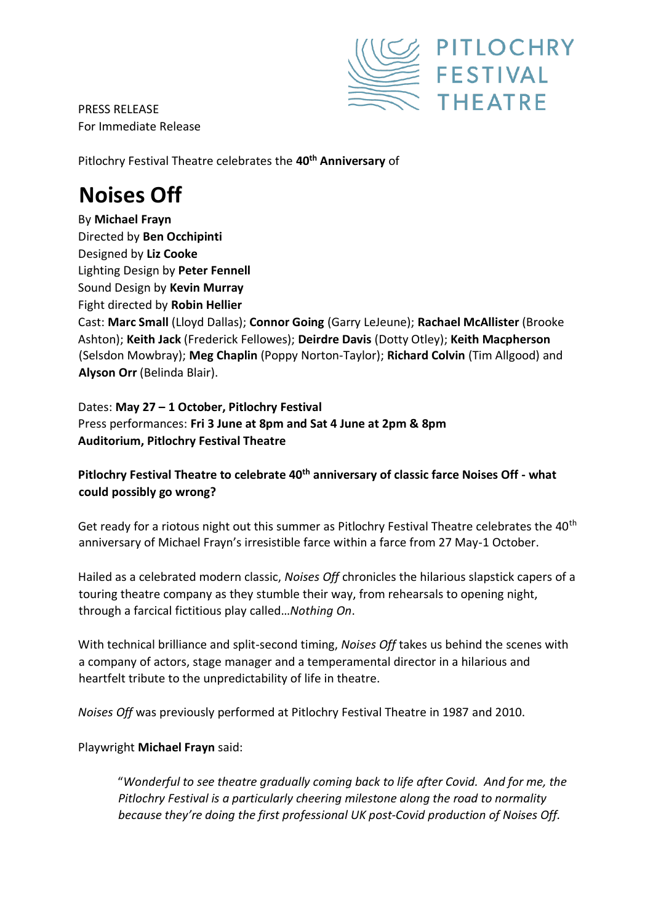

PRESS RELEASE For Immediate Release

Pitlochry Festival Theatre celebrates the **40th Anniversary** of

## **Noises Off**

By **Michael Frayn** Directed by **Ben Occhipinti** Designed by **Liz Cooke** Lighting Design by **Peter Fennell** Sound Design by **Kevin Murray**  Fight directed by **Robin Hellier** Cast: **Marc Small** (Lloyd Dallas); **Connor Going** (Garry LeJeune); **Rachael McAllister** (Brooke Ashton); **Keith Jack** (Frederick Fellowes); **Deirdre Davis** (Dotty Otley); **Keith Macpherson** (Selsdon Mowbray); **Meg Chaplin** (Poppy Norton-Taylor); **Richard Colvin** (Tim Allgood) and **Alyson Orr** (Belinda Blair).

Dates: **May 27 – 1 October, Pitlochry Festival** Press performances: **Fri 3 June at 8pm and Sat 4 June at 2pm & 8pm Auditorium, Pitlochry Festival Theatre** 

## **Pitlochry Festival Theatre to celebrate 40th anniversary of classic farce Noises Off - what could possibly go wrong?**

Get ready for a riotous night out this summer as Pitlochry Festival Theatre celebrates the 40<sup>th</sup> anniversary of Michael Frayn's irresistible farce within a farce from 27 May-1 October.

Hailed as a celebrated modern classic, *Noises Off* chronicles the hilarious slapstick capers of a touring theatre company as they stumble their way, from rehearsals to opening night, through a farcical fictitious play called…*Nothing On*.

With technical brilliance and split-second timing, *Noises Off* takes us behind the scenes with a company of actors, stage manager and a temperamental director in a hilarious and heartfelt tribute to the unpredictability of life in theatre.

*Noises Off* was previously performed at Pitlochry Festival Theatre in 1987 and 2010.

## Playwright **Michael Frayn** said:

"*Wonderful to see theatre gradually coming back to life after Covid. And for me, the Pitlochry Festival is a particularly cheering milestone along the road to normality because they're doing the first professional UK post-Covid production of Noises Off.*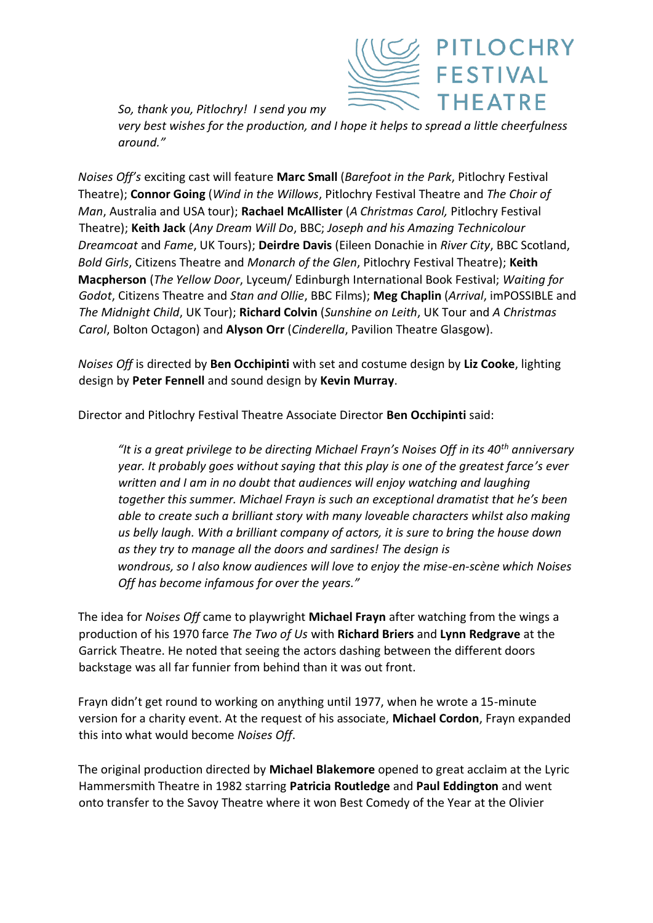

*So, thank you, Pitlochry! I send you my* 

*very best wishes for the production, and I hope it helps to spread a little cheerfulness around."*

*Noises Off's* exciting cast will feature **Marc Small** (*Barefoot in the Park*, Pitlochry Festival Theatre); **Connor Going** (*Wind in the Willows*, Pitlochry Festival Theatre and *The Choir of Man*, Australia and USA tour); **Rachael McAllister** (*A Christmas Carol,* Pitlochry Festival Theatre); **Keith Jack** (*Any Dream Will Do*, BBC; *Joseph and his Amazing Technicolour Dreamcoat* and *Fame*, UK Tours); **Deirdre Davis** (Eileen Donachie in *River City*, BBC Scotland, *Bold Girls*, Citizens Theatre and *Monarch of the Glen*, Pitlochry Festival Theatre); **Keith Macpherson** (*The Yellow Door*, Lyceum/ Edinburgh International Book Festival; *Waiting for Godot*, Citizens Theatre and *Stan and Ollie*, BBC Films); **Meg Chaplin** (*Arrival*, imPOSSIBLE and *The Midnight Child*, UK Tour); **Richard Colvin** (*Sunshine on Leith*, UK Tour and *A Christmas Carol*, Bolton Octagon) and **Alyson Orr** (*Cinderella*, Pavilion Theatre Glasgow).

*Noises Off* is directed by **Ben Occhipinti** with set and costume design by **Liz Cooke**, lighting design by **Peter Fennell** and sound design by **Kevin Murray**.

Director and Pitlochry Festival Theatre Associate Director **Ben Occhipinti** said:

*"It is a great privilege to be directing Michael Frayn's Noises Off in its 40th anniversary year. It probably goes without saying that this play is one of the greatest farce's ever written and I am in no doubt that audiences will enjoy watching and laughing together this summer. Michael Frayn is such an exceptional dramatist that he's been able to create such a brilliant story with many loveable characters whilst also making us belly laugh. With a brilliant company of actors, it is sure to bring the house down as they try to manage all the doors and sardines! The design is wondrous, so I also know audiences will love to enjoy the mise-en-scène which Noises Off has become infamous for over the years."* 

The idea for *Noises Off* came to playwright **Michael Frayn** after watching from the wings a production of his 1970 farce *The Two of Us* with **Richard Briers** and **Lynn Redgrave** at the Garrick Theatre. He noted that seeing the actors dashing between the different doors backstage was all far funnier from behind than it was out front.

Frayn didn't get round to working on anything until 1977, when he wrote a 15-minute version for a charity event. At the request of his associate, **Michael Cordon**, Frayn expanded this into what would become *Noises Off*.

The original production directed by **Michael Blakemore** opened to great acclaim at the Lyric Hammersmith Theatre in 1982 starring **Patricia Routledge** and **Paul Eddington** and went onto transfer to the Savoy Theatre where it won Best Comedy of the Year at the Olivier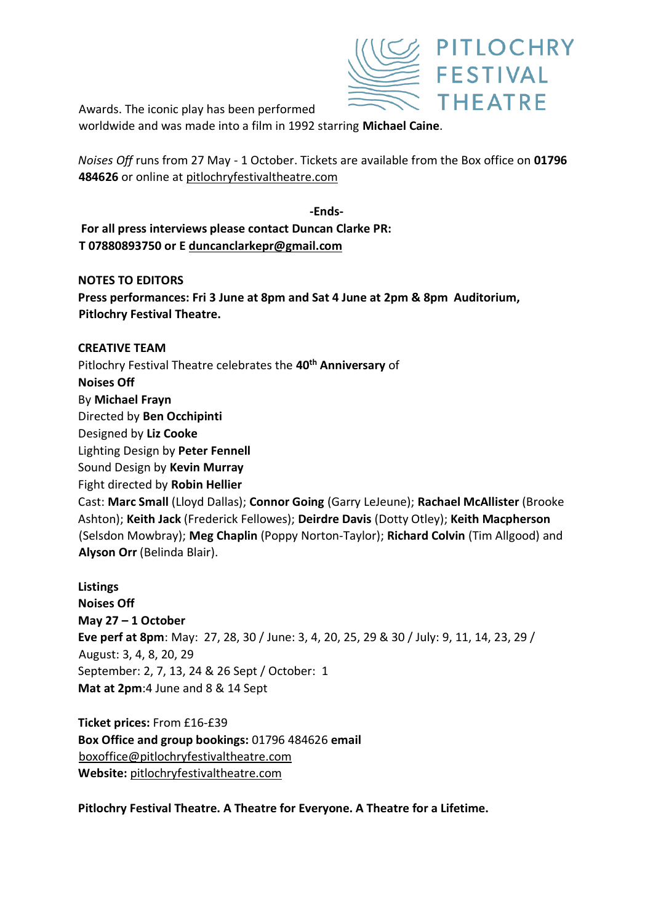

Awards. The iconic play has been performed worldwide and was made into a film in 1992 starring **Michael Caine**.

*Noises Off* runs from 27 May - 1 October. Tickets are available from the Box office on **01796 484626** or online at [pitlochryfestivaltheatre.com](http://www.pitlochryfestivaltheatre.com/)

**-Ends-For all press interviews please contact Duncan Clarke PR: T 07880893750 or E duncanclarkepr@gmail.com**

**NOTES TO EDITORS Press performances: Fri 3 June at 8pm and Sat 4 June at 2pm & 8pm Auditorium, Pitlochry Festival Theatre.** 

**CREATIVE TEAM**  Pitlochry Festival Theatre celebrates the **40th Anniversary** of **Noises Off**  By **Michael Frayn** Directed by **Ben Occhipinti** Designed by **Liz Cooke** Lighting Design by **Peter Fennell** Sound Design by **Kevin Murray**  Fight directed by **Robin Hellier** Cast: **Marc Small** (Lloyd Dallas); **Connor Going** (Garry LeJeune); **Rachael McAllister** (Brooke Ashton); **Keith Jack** (Frederick Fellowes); **Deirdre Davis** (Dotty Otley); **Keith Macpherson** (Selsdon Mowbray); **Meg Chaplin** (Poppy Norton-Taylor); **Richard Colvin** (Tim Allgood) and **Alyson Orr** (Belinda Blair).

**Listings Noises Off May 27 – 1 October Eve perf at 8pm**: May: 27, 28, 30 / June: 3, 4, 20, 25, 29 & 30 / July: 9, 11, 14, 23, 29 / August: 3, 4, 8, 20, 29 September: 2, 7, 13, 24 & 26 Sept / October: 1 **Mat at 2pm**:4 June and 8 & 14 Sept

**Ticket prices:** From £16-£39 **Box Office and group bookings:** 01796 484626 **email**  boxoffice@pitlochryfestivaltheatre.com **Website:** [pitlochryfestivaltheatre.com](http://www.pitlochryfestivaltheatre.com/)

**Pitlochry Festival Theatre. A Theatre for Everyone. A Theatre for a Lifetime.**